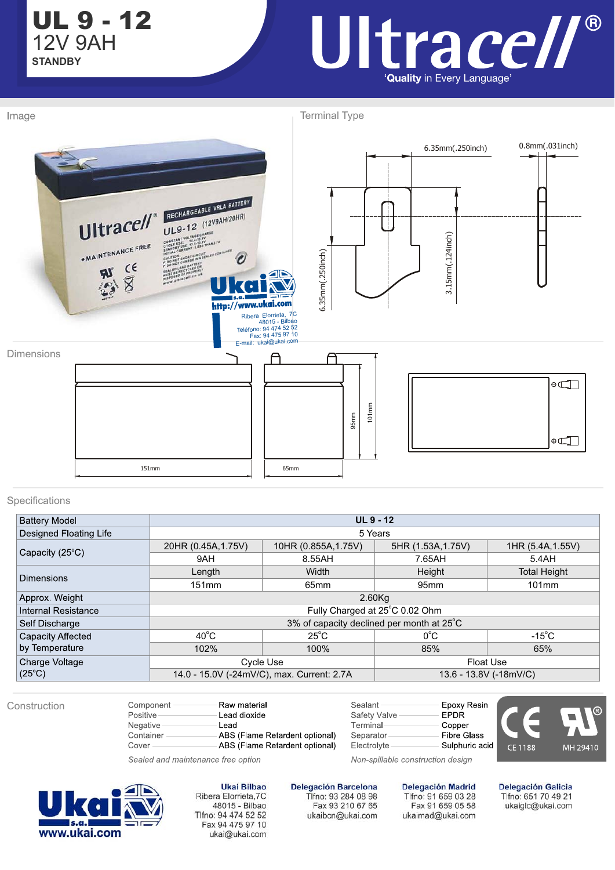UL 9 - 12 **STANDBY** 12V 9AH

Image

## Ultrace//® 'Quality in Every Language'

Terminal Type



## Specifications

| <b>Battery Model</b>       | <b>UL 9 - 12</b>                          |                                            |                        |                     |  |  |  |
|----------------------------|-------------------------------------------|--------------------------------------------|------------------------|---------------------|--|--|--|
| Designed Floating Life     | 5 Years                                   |                                            |                        |                     |  |  |  |
|                            | 20HR (0.45A, 1.75V)                       | 10HR (0.855A, 1.75V)                       | 5HR (1.53A, 1.75V)     | 1HR (5.4A, 1.55V)   |  |  |  |
| Capacity (25°C)            | 9AH                                       | 8.55AH                                     | 7.65AH                 | 5.4AH               |  |  |  |
| <b>Dimensions</b>          | Length                                    | Width                                      | Height                 | <b>Total Height</b> |  |  |  |
|                            | 151mm                                     | 65 <sub>mm</sub>                           | 95 <sub>mm</sub>       | $101$ mm            |  |  |  |
| Approx. Weight             | 2.60Kg                                    |                                            |                        |                     |  |  |  |
| <b>Internal Resistance</b> | Fully Charged at 25°C 0.02 Ohm            |                                            |                        |                     |  |  |  |
| Self Discharge             | 3% of capacity declined per month at 25°C |                                            |                        |                     |  |  |  |
| Capacity Affected          | $40^{\circ}$ C                            | $25^{\circ}$ C                             | $0^{\circ}$ C          | $-15^{\circ}$ C     |  |  |  |
| by Temperature             | 102%                                      | 100%                                       | 85%                    | 65%                 |  |  |  |
| Charge Voltage             |                                           | Cycle Use                                  | <b>Float Use</b>       |                     |  |  |  |
| $(25^{\circ}C)$            |                                           | 14.0 - 15.0V (-24mV/C), max. Current: 2.7A | 13.6 - 13.8V (-18mV/C) |                     |  |  |  |

Construction

Component Raw material Positive Lead dioxide Negative Lead Container -

Cover

Sealant Safety Valve Terminal ABS (Flame Retardent optional) Separator ABS (Flame Retardent optional) Electrolyte

Epoxy Resin **EPDR** Copper **Fibre Glass** Sulphuric acid Non-spillable construction design



Sealed and maintenance free option



**Ukai Bilbao** Ribera Elorrieta, 7C 48015 - Bilbao Tlfno: 94 474 52 52 Fax 94 475 97 10 ukai@ukai.com **Delegación Barcelona** Tlfno: 93 284 08 98 Fax 93 210 67 65 ukaibcn@ukai.com **Delegación Madrid** Tlfno: 91 659 03 28

Fax 91 659 05 58 ukaimad@ukai.com

**Delegación Galicia** Tlfno: 651 70 49 21 ukaiglc@ukai.com